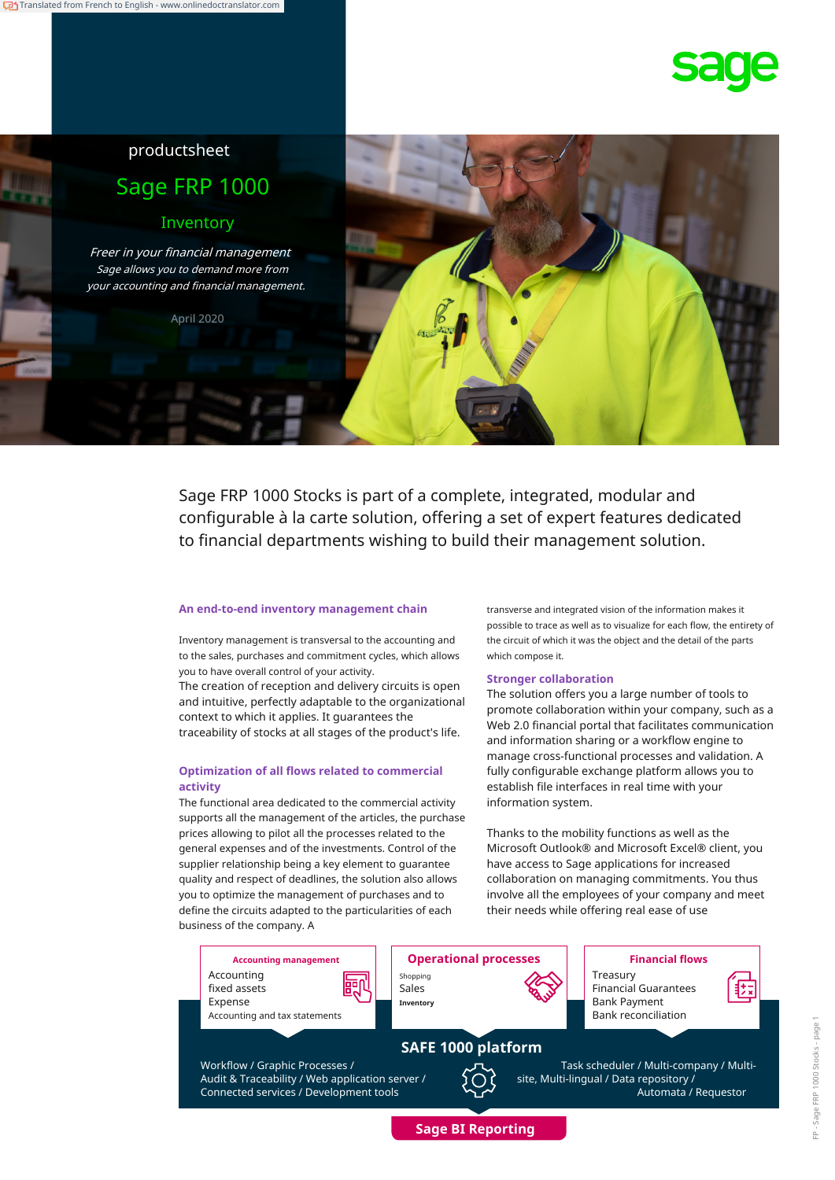



Sage FRP 1000 Stocks is part of a complete, integrated, modular and configurable à la carte solution, offering a set of expert features dedicated to financial departments wishing to build their management solution.

### **An end-to-end inventory management chain**

Inventory management is transversal to the accounting and to the sales, purchases and commitment cycles, which allows you to have overall control of your activity.

The creation of reception and delivery circuits is open and intuitive, perfectly adaptable to the organizational context to which it applies. It guarantees the traceability of stocks at all stages of the product's life.

## **Optimization of all flows related to commercial activity**

The functional area dedicated to the commercial activity supports all the management of the articles, the purchase prices allowing to pilot all the processes related to the general expenses and of the investments. Control of the supplier relationship being a key element to guarantee quality and respect of deadlines, the solution also allows you to optimize the management of purchases and to define the circuits adapted to the particularities of each business of the company. A

transverse and integrated vision of the information makes it possible to trace as well as to visualize for each flow, the entirety of the circuit of which it was the object and the detail of the parts which compose it.

#### **Stronger collaboration**

The solution offers you a large number of tools to promote collaboration within your company, such as a Web 2.0 financial portal that facilitates communication and information sharing or a workflow engine to manage cross-functional processes and validation. A fully configurable exchange platform allows you to establish file interfaces in real time with your information system.

Thanks to the mobility functions as well as the Microsoft Outlook® and Microsoft Excel® client, you have access to Sage applications for increased collaboration on managing commitments. You thus involve all the employees of your company and meet their needs while offering real ease of use

**Accounting management Operational processes Financial flows** Accounting fixed assets Expense Accounting and tax statements

Workflow / Graphic Processes / Audit & Traceability / Web application server / Connected services / Development tools



Treasury Financial Guarantees Bank reconciliation

Task scheduler / Multi-company / Multisite, Multi-lingual / Data repository /

Automata / Requestor

再

**SAFE 1000 platform**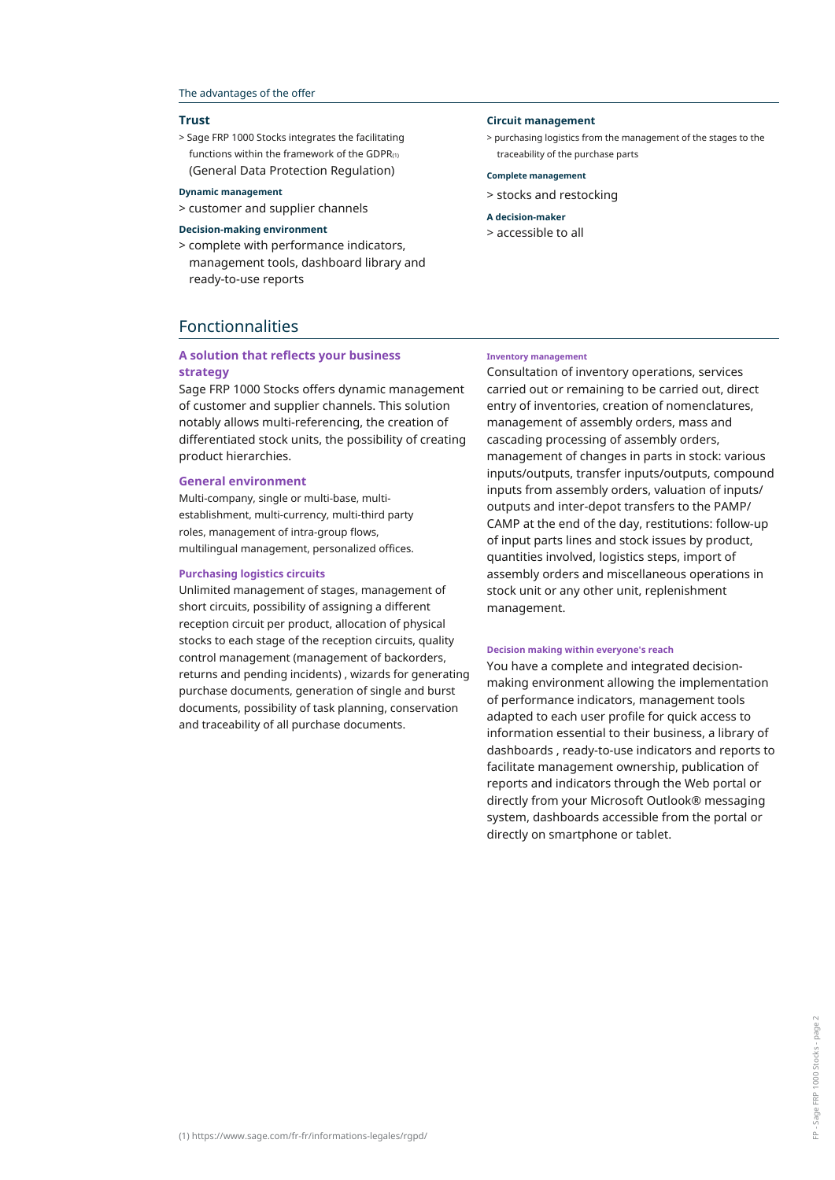#### The advantages of the offer

#### **Trust**

> Sage FRP 1000 Stocks integrates the facilitating functions within the framework of the GDPR $(1)$ (General Data Protection Regulation)

# > stocks and restocking **Dynamic management**

> customer and supplier channels

## > accessible to all **Decision-making environment**

> complete with performance indicators, management tools, dashboard library and ready-to-use reports

#### **Circuit management**

> purchasing logistics from the management of the stages to the traceability of the purchase parts

#### **Complete management**

- 
- **A decision-maker**
- 

# Fonctionnalities

# **A solution that reflects your business strategy**

Sage FRP 1000 Stocks offers dynamic management of customer and supplier channels. This solution notably allows multi-referencing, the creation of differentiated stock units, the possibility of creating product hierarchies.

#### **General environment**

Multi-company, single or multi-base, multiestablishment, multi-currency, multi-third party roles, management of intra-group flows, multilingual management, personalized offices.

#### **Purchasing logistics circuits**

Unlimited management of stages, management of short circuits, possibility of assigning a different reception circuit per product, allocation of physical stocks to each stage of the reception circuits, quality control management (management of backorders, returns and pending incidents) , wizards for generating purchase documents, generation of single and burst documents, possibility of task planning, conservation and traceability of all purchase documents.

#### **Inventory management**

Consultation of inventory operations, services carried out or remaining to be carried out, direct entry of inventories, creation of nomenclatures, management of assembly orders, mass and cascading processing of assembly orders, management of changes in parts in stock: various inputs/outputs, transfer inputs/outputs, compound inputs from assembly orders, valuation of inputs/ outputs and inter-depot transfers to the PAMP/ CAMP at the end of the day, restitutions: follow-up of input parts lines and stock issues by product, quantities involved, logistics steps, import of assembly orders and miscellaneous operations in stock unit or any other unit, replenishment management.

#### **Decision making within everyone's reach**

You have a complete and integrated decisionmaking environment allowing the implementation of performance indicators, management tools adapted to each user profile for quick access to information essential to their business, a library of dashboards , ready-to-use indicators and reports to facilitate management ownership, publication of reports and indicators through the Web portal or directly from your Microsoft Outlook® messaging system, dashboards accessible from the portal or directly on smartphone or tablet.